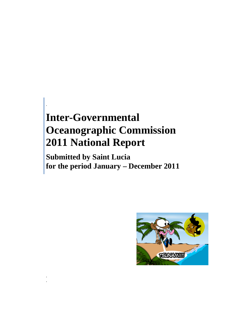# **Inter-Governmental Oceanographic Commission 2011 National Report**

.

. .

**Submitted by Saint Lucia for the period January – December 2011**

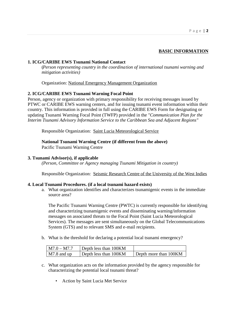### **BASIC INFORMATION**

### **1. ICG/CARIBE EWS Tsunami National Contact**

(*Person representing country in the coordination of international tsunami warning and mitigation activities)*

Organization: National Emergency Management Organization

### **2. ICG/CARIBE EWS Tsunami Warning Focal Point**

Person, agency or organization with primary responsibility for receiving messages issued by PTWC or CARIBE EWS warning centers, and for issuing tsunami event information within their country. This information is provided in full using the CARIBE EWS Form for designating or updating Tsunami Warning Focal Point (TWFP) provided in the *"Communication Plan for the Interim Tsunami Advisory Information Service to the Caribbean Sea and Adjacent Regions"*

Responsible Organization: Saint Lucia Meteorological Service

**National Tsunami Warning Centre (if different from the above)**

Pacific Tsunami Warning Centre

### **3. Tsunami Advisor(s), if applicable**

*(Person, Committee or Agency managing Tsunami Mitigation in country)*

Responsible Organization: Seismic Research Centre of the University of the West Indies

#### **4. Local Tsunami Procedures. (if a local tsunami hazard exists)**

a. What organization identifies and characterizes tsunamigenic events in the immediate source area?

The Pacific Tsunami Warning Centre (PWTC) is currently responsible for identifying and characterizing tsunamigenic events and disseminating warning/information messages on associated threats to the Focal Point (Saint Lucia Meteorological Services). The messages are sent simultaneously on the Global Telecommunications System (GTS) and to relevant SMS and e-mail recipients.

b. What is the threshold for declaring a potential local tsunami emergency?

| $M7.0 - M7.7$ | Depth less than 100KM |                       |
|---------------|-----------------------|-----------------------|
| M7.8 and up   | Depth less than 100KM | Depth more than 100KM |

- c. What organization acts on the information provided by the agency responsible for characterizing the potential local tsunami threat?
	- Action by Saint Lucia Met Service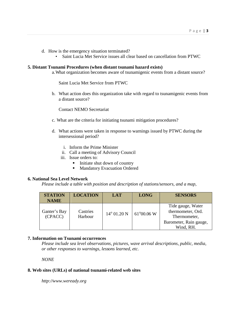- d. How is the emergency situation terminated?
	- Saint Lucia Met Service issues all clear based on cancellation from PTWC

### **5. Distant Tsunami Procedures (when distant tsunami hazard exists)**

a.What organization becomes aware of tsunamigenic events from a distant source?

Saint Lucia Met Service from PTWC

b. What action does this organization take with regard to tsunamigenic events from a distant source?

Contact NEMO Secretariat

- c. What are the criteria for initiating tsunami mitigation procedures?
- d. What actions were taken in response to warnings issued by PTWC during the intersessional period?
	- i. Inform the Prime Minister
	- ii. Call a meeting of Advisory Council
	- iii. Issue orders to:
		- $\blacksquare$  Initiate shut down of country
		- **Mandatory Evacuation Ordered**

#### **6. National Sea Level Network**

*Please include a table with position and description of stations/sensors, and a map,*

| <b>STATION</b><br><b>NAME</b> | <b>LOCATION</b>     | <b>LAT</b>           | <b>LONG</b>         | <b>SENSORS</b>                                                                                |
|-------------------------------|---------------------|----------------------|---------------------|-----------------------------------------------------------------------------------------------|
| Ganter's Bay<br>(CPACC)       | Castries<br>Harbour | $14^{\circ}$ 01.20 N | $61^{\circ}00.06$ W | Tide gauge, Water<br>thermometer, Ord.<br>Thermometer,<br>Barometer, Rain gauge,<br>Wind, RH. |

### **7. Information on Tsunami occurrences**

*Please include sea level observations, pictures, wave arrival descriptions, public, media, or other responses to warnings, lessons learned, etc.*

*NONE*

### **8. Web sites (URLs) of national tsunami-related web sites**

*http://www.weready.org*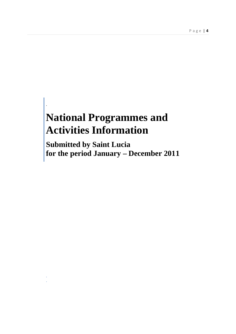# **National Programmes and Activities Information**

.

. .

**Submitted by Saint Lucia for the period January – December 2011**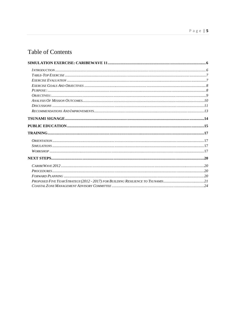# Table of Contents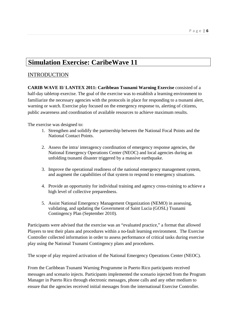# **Simulation Exercise: CaribeWave 11**

# INTRODUCTION

**CARIB WAVE II/ LANTEX 2011: Caribbean Tsunami Warning Exercise** consisted of a half-day tabletop exercise. The goal of the exercise was to establish a learning environment to familiarize the necessary agencies with the protocols in place for responding to a tsunami alert, warning or watch. Exercise play focused on the emergency response to, alerting of citizens, public awareness and coordination of available resources to achieve maximum results.

The exercise was designed to:

- 1. Strengthen and solidify the partnership between the National Focal Points and the National Contact Points.
- 2. Assess the intra/ interagency coordination of emergency response agencies, the National Emergency Operations Center (NEOC) and local agencies during an unfolding tsunami disaster triggered by a massive earthquake.
- 3. Improve the operational readiness of the national emergency management system, and augment the capabilities of that system to respond to emergency situations.
- 4. Provide an opportunity for individual training and agency cross-training to achieve a high level of collective preparedness.
- 5. Assist National Emergency Management Organization (NEMO) in assessing, validating, and updating the Government of Saint Lucia (GOSL) Tsunami Contingency Plan (September 2010).

Participants were advised that the exercise was an "evaluated practice," a format that allowed Players to test their plans and procedures within a no-fault learning environment. The Exercise Controller collected information in order to assess performance of critical tasks during exercise play using the National Tsunami Contingency plans and procedures.

The scope of play required activation of the National Emergency Operations Center (NEOC).

From the Caribbean Tsunami Warning Programme in Puerto Rico participants received messages and scenario injects. Participants implemented the scenario injected from the Program Manager in Puerto Rico through electronic messages, phone calls and any other medium to ensure that the agencies received initial messages from the international Exercise Controller.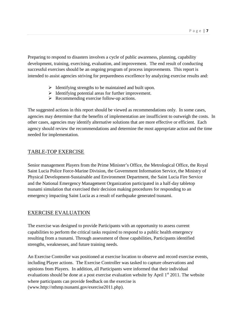Preparing to respond to disasters involves a cycle of public awareness, planning, capability development, training, exercising, evaluation, and improvement. The end result of conducting successful exercises should be an ongoing program of process improvements. This report is intended to assist agencies striving for preparedness excellence by analyzing exercise results and:

- $\triangleright$  Identifying strengths to be maintained and built upon.
- $\triangleright$  Identifying potential areas for further improvement.
- $\triangleright$  Recommending exercise follow-up actions.

The suggested actions in this report should be viewed as recommendations only. In some cases, agencies may determine that the benefits of implementation are insufficient to outweigh the costs. In other cases, agencies may identify alternative solutions that are more effective or efficient. Each agency should review the recommendations and determine the most appropriate action and the time needed for implementation.

# TABLE-TOP EXERCISE

Senior management Players from the Prime Minister's Office, the Metrological Office, the Royal Saint Lucia Police Force-Marine Division, the Government Information Service, the Ministry of Physical Development-Sustainable and Environment Department, the Saint Lucia Fire Service and the National Emergency Management Organization participated in a half-day tabletop tsunami simulation that exercised their decision making procedures for responding to an emergency impacting Saint Lucia as a result of earthquake generated tsunami.

# EXERCISE EVALUATION

The exercise was designed to provide Participants with an opportunity to assess current capabilities to perform the critical tasks required to respond to a public health emergency resulting from a tsunami. Through assessment of those capabilities, Participants identified strengths, weaknesses, and future training needs.

An Exercise Controller was positioned at exercise location to observe and record exercise events, including Player actions. The Exercise Controller was tasked to capture observations and opinions from Players. In addition, all Participants were informed that their individual evaluations should be done at a post exercise evaluation website by April 1<sup>st</sup> 2011. The website where participants can provide feedback on the exercise is (www.http://nthmp.tsunami.gov/exercise2011.php).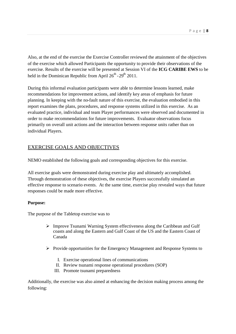Also, at the end of the exercise the Exercise Controller reviewed the attainment of the objectives of the exercise which allowed Participants the opportunity to provide their observations of the exercise. Results of the exercise will be presented at Session VI of the **ICG CARIBE EWS** to be held in the Dominican Republic from April  $26^{th}$  -  $29^{th}$  2011.

During this informal evaluation participants were able to determine lessons learned, make recommendations for improvement actions, and identify key areas of emphasis for future planning. In keeping with the no-fault nature of this exercise, the evaluation embodied in this report examines the plans, procedures, and response systems utilized in this exercise. As an evaluated practice, individual and team Player performances were observed and documented in order to make recommendations for future improvements. Evaluator observations focus primarily on overall unit actions and the interaction between response units rather than on individual Players.

# EXERCISE GOALS AND OBJECTIVES

NEMO established the following goals and corresponding objectives for this exercise.

All exercise goals were demonstrated during exercise play and ultimately accomplished. Through demonstration of these objectives, the exercise Players successfully simulated an effective response to scenario events. At the same time, exercise play revealed ways that future responses could be made more effective.

## **Purpose:**

The purpose of the Tabletop exercise was to

- Improve Tsunami Warning System effectiveness along the Caribbean and Gulf coasts and along the Eastern and Gulf Coast of the US and the Eastern Coast of Canada
- $\triangleright$  Provide opportunities for the Emergency Management and Response Systems to
	- I. Exercise operational lines of communications
	- II. Review tsunami response operational procedures (SOP)
	- III. Promote tsunami preparedness

Additionally, the exercise was also aimed at enhancing the decision making process among the following: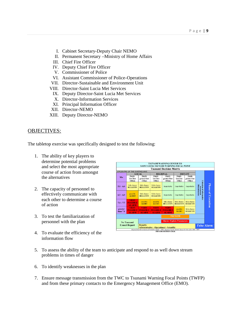- I. Cabinet Secretary-Deputy Chair NEMO
- II. Permanent Secretary –Ministry of Home Affairs
- III. Chief Fire Officer
- IV. Deputy Chief Fire Officer
- V. Commissioner of Police
- VI. Assistant Commissioner of Police-Operations
- VII. Director-Sustainable and Environment Unit
- VIII. Director-Saint Lucia Met Services
	- IX. Deputy Director-Saint Lucia Met Services
	- X. Director-Information Services
	- XI. Principal Information Officer
- XII. Director-NEMO
- XIII. Deputy Director-NEMO

### OBJECTIVES:

The tabletop exercise was specifically designed to test the following:

- 1. The ability of key players to determine potential problems and select the most appropriate course of action from amongst the alternatives
- 2. The capacity of personnel to effectively communicate with each other to determine a course of action
- 3. To test the familiarization of personnel with the plan
- 4. To evaluate the efficiency of the information flow

|                     |                                                |                                                |                                                | SAINT LUCIA TSUNAMI WARNING FOCAL POINT<br><b>Tsunami Decision Matrix</b> |                                  |                                                  |                                                                        |                    |
|---------------------|------------------------------------------------|------------------------------------------------|------------------------------------------------|---------------------------------------------------------------------------|----------------------------------|--------------------------------------------------|------------------------------------------------------------------------|--------------------|
|                     | EPICENTRE OF THE EARTHQUAKE                    |                                                |                                                |                                                                           |                                  |                                                  |                                                                        |                    |
| Mw                  | Depth<br>less than<br>100km                    | LOCAL.<br>Depth<br>greater than<br>100km       | Depth<br>less than<br>100km                    | <b>REGIONAL</b><br>Depth<br>greater than<br>100km                         | Depth<br>less than<br>100km      | <b>DISTANT</b><br>Depth<br>greater than<br>100km |                                                                        |                    |
| $5.0 - 6.4$         | little chance<br><b>BULLETIN</b>               | little chance<br><b>BULLETIN</b>               | little chance<br><b>BULLETIN</b>               | Improbable                                                                | Improbable                       | Improbable                                       | <b>Collection of information</b><br><b>Dissemination</b><br>Assessment |                    |
| $6.5 - 6.9$         | possible<br><b>ALERT</b>                       | little chance<br><b>BULLETIN</b>               | little chance<br><b>BULLETIN</b>               | Improbable                                                                | Improbable                       | Improbable                                       |                                                                        | Phase of Execution |
| $7.0 - 7.7$         | <b>VERY</b><br><b>POSSIBLE</b><br><b>ALARM</b> | possible<br><b>ALERT</b>                       | possible<br><b>ALERT</b>                       | little chance<br><b>BULLETIN</b>                                          | little chance<br><b>BULLETIN</b> | little chance<br><b>BULLETIN</b>                 |                                                                        |                    |
| greater<br>than 7.8 | <b>VERY</b><br><b>POSSIBLE</b><br><b>ALARM</b> | <b>VERY</b><br><b>POSSIBLE</b><br><b>ALARM</b> | <b>VERY</b><br><b>POSSIBLE</b><br><b>ALARM</b> | <b>VERY</b><br><b>POSSIBLE</b><br><b>ALARM</b>                            | possible<br><b>ALERT</b>         | little chance<br><b>BULLETIN</b>                 |                                                                        |                    |
|                     |                                                |                                                |                                                |                                                                           | <b>TSUNAMI</b>                   |                                                  |                                                                        |                    |
|                     | No Tsunami                                     |                                                |                                                | <b>Alarm / Update Parameters</b>                                          |                                  |                                                  |                                                                        |                    |
|                     | <b>Cancel Report</b>                           | <b>Reports:</b>                                |                                                | <b>Administrative - Operational - Scientific</b>                          |                                  |                                                  |                                                                        | <b>False Alarm</b> |

- 5. To assess the ability of the team to anticipate and respond to as well down stream problems in times of danger
- 6. To identify weaknesses in the plan
- 7. Ensure message transmission from the TWC to Tsunami Warning Focal Points (TWFP) and from these primary contacts to the Emergency Management Office (EMO).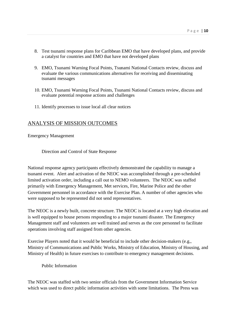- 8. Test tsunami response plans for Caribbean EMO that have developed plans, and provide a catalyst for countries and EMO that have not developed plans
- 9. EMO, Tsunami Warning Focal Points, Tsunami National Contacts review, discuss and evaluate the various communications alternatives for receiving and disseminating tsunami messages
- 10. EMO, Tsunami Warning Focal Points, Tsunami National Contacts review, discuss and evaluate potential response actions and challenges
- 11. Identify processes to issue local all clear notices

## ANALYSIS OF MISSION OUTCOMES

Emergency Management

Direction and Control of State Response

National response agency participants effectively demonstrated the capability to manage a tsunami event. Alert and activation of the NEOC was accomplished through a pre-scheduled limited activation order, including a call out to NEMO volunteers. The NEOC was staffed primarily with Emergency Management, Met services, Fire, Marine Police and the other Government personnel in accordance with the Exercise Plan. A number of other agencies who were supposed to be represented did not send representatives.

The NEOC is a newly built, concrete structure. The NEOC is located at a very high elevation and is well equipped to house persons responding to a major tsunami disaster. The Emergency Management staff and volunteers are well trained and serves as the core personnel to facilitate operations involving staff assigned from other agencies.

Exercise Players noted that it would be beneficial to include other decision-makers (e.g., Ministry of Communications and Public Works, Ministry of Education, Ministry of Housing, and Ministry of Health) in future exercises to contribute to emergency management decisions.

Public Information

The NEOC was staffed with two senior officials from the Government Information Service which was used to direct public information activities with some limitations. The Press was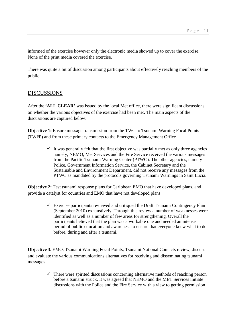informed of the exercise however only the electronic media showed up to cover the exercise. None of the print media covered the exercise.

There was quite a bit of discussion among participants about effectively reaching members of the public.

# DISCUSSIONS

After the **'ALL CLEAR'** was issued by the local Met office, there were significant discussions on whether the various objectives of the exercise had been met. The main aspects of the discussions are captured below:

**Objective 1:** Ensure message transmission from the TWC to Tsunami Warning Focal Points (TWFP) and from these primary contacts to the Emergency Management Office

> $\checkmark$  It was generally felt that the first objective was partially met as only three agencies namely, NEMO, Met Services and the Fire Service received the various messages from the Pacific Tsunami Warning Center (PTWC). The other agencies, namely Police, Government Information Service, the Cabinet Secretary and the Sustainable and Environment Department, did not receive any messages from the PTWC as mandated by the protocols governing Tsunami Warnings in Saint Lucia.

**Objective 2:** Test tsunami response plans for Caribbean EMO that have developed plans, and provide a catalyst for countries and EMO that have not developed plans

> $\checkmark$  Exercise participants reviewed and critiqued the Draft Tsunami Contingency Plan (September 2010) exhaustively. Through this review a number of weaknesses were identified as well as a number of few areas for strengthening. Overall the participants believed that the plan was a workable one and needed an intense period of public education and awareness to ensure that everyone knew what to do before, during and after a tsunami.

**Objective 3**: EMO, Tsunami Warning Focal Points, Tsunami National Contacts review, discuss and evaluate the various communications alternatives for receiving and disseminating tsunami messages

> $\checkmark$  There were spirited discussions concerning alternative methods of reaching person before a tsunami struck. It was agreed that NEMO and the MET Services initiate discussions with the Police and the Fire Service with a view to getting permission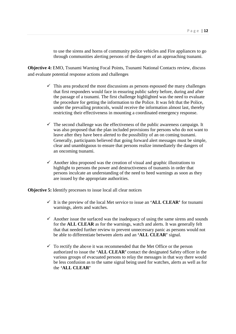to use the sirens and horns of community police vehicles and Fire appliances to go through communities alerting persons of the dangers of an approaching tsunami.

**Objective 4:** EMO, Tsunami Warning Focal Points, Tsunami National Contacts review, discuss and evaluate potential response actions and challenges

- $\checkmark$  This area produced the most discussions as persons espoused the many challenges that first responders would face in ensuring public safety before, during and after the passage of a tsunami. The first challenge highlighted was the need to evaluate the procedure for getting the information to the Police. It was felt that the Police, under the prevailing protocols, would receive the information almost last, thereby restricting their effectiveness in mounting a coordinated emergency response.
- $\checkmark$  The second challenge was the effectiveness of the public awareness campaign. It was also proposed that the plan included provisions for persons who do not want to leave after they have been alerted to the possibility of an on coming tsunami. Generally, participants believed that going forward alert messages must be simple, clear and unambiguous to ensure that persons realize immediately the dangers of an oncoming tsunami.
- $\checkmark$  Another idea proposed was the creation of visual and graphic illustrations to highlight to persons the power and destructiveness of tsunamis in order that persons inculcate an understanding of the need to heed warnings as soon as they are issued by the appropriate authorities.

**Objective 5:** Identify processes to issue local all clear notices

- $\checkmark$  It is the preview of the local Met service to issue an **'ALL CLEAR'** for tsunami warnings, alerts and watches.
- $\checkmark$  Another issue the surfaced was the inadequacy of using the same sirens and sounds for the **ALL CLEAR** as for the warnings, watch and alerts. It was generally felt that that needed further review to prevent unnecessary panic as persons would not be able to differentiate between alerts and an **'ALL CLEAR'** signal.
- $\checkmark$  To rectify the above it was recommended that the Met Office or the person authorized to issue the **'ALL CLEAR'** contact the designated Safety officer in the various groups of evacuated persons to relay the messages in that way there would be less confusion as to the same signal being used for watches, alerts as well as for the **'ALL CLEAR'**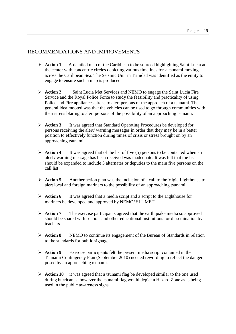# RECOMMENDATIONS AND IMPROVEMENTS

- **Exercise 1** A detailed map of the Caribbean to be sourced highlighting Saint Lucia at the center with concentric circles depicting various timelines for a tsunami moving across the Caribbean Sea. The Seismic Unit in Trinidad was identified as the entity to engage to ensure such a map is produced.
- **Action 2** Saint Lucia Met Services and NEMO to engage the Saint Lucia Fire Service and the Royal Police Force to study the feasibility and practicality of using Police and Fire appliances sirens to alert persons of the approach of a tsunami. The general idea mooted was that the vehicles can be used to go through communities with their sirens blaring to alert persons of the possibility of an approaching tsunami.
- Action 3 It was agreed that Standard Operating Procedures be developed for persons receiving the alert/ warning messages in order that they may be in a better position to effectively function during times of crisis or stress brought on by an approaching tsunami
- $\triangleright$  Action 4 It was agreed that of the list of five (5) persons to be contacted when an alert / warning message has been received was inadequate. It was felt that the list should be expanded to include 5 alternates or deputies to the main five persons on the call list
- Action 5 Another action plan was the inclusion of a call to the Vigie Lighthouse to alert local and foreign mariners to the possibility of an approaching tsunami
- Action 6 It was agreed that a media script and a script to the Lighthouse for mariners be developed and approved by NEMO/ SLUMET
- Action 7 The exercise participants agreed that the earthquake media so approved should be shared with schools and other educational institutions for dissemination by teachers
- Action 8 NEMO to continue its engagement of the Bureau of Standards in relation to the standards for public signage
- **Action 9** Exercise participants felt the present media script contained in the Tsunami Contingency Plan (September 2010) needed rewording to reflect the dangers posed by an approaching tsunami.
- Action 10 it was agreed that a tsunami flag be developed similar to the one used during hurricanes, however the tsunami flag would depict a Hazard Zone as is being used in the public awareness signs.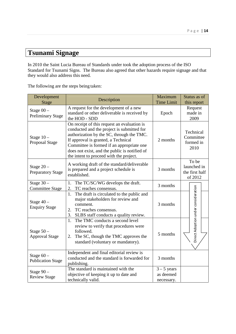# **Tsunami Signage**

In 2010 the Saint Lucia Bureau of Standards under took the adoption process of the ISO Standard for Tsunami Signs. The Bureau also agreed that other hazards require signage and that they would also address this need.

The following are the steps being taken:

| Development<br><b>Stage</b>             | Description                                                                                                                                                                                                                                                                                                            |                                          | Status as of<br>this report                       |
|-----------------------------------------|------------------------------------------------------------------------------------------------------------------------------------------------------------------------------------------------------------------------------------------------------------------------------------------------------------------------|------------------------------------------|---------------------------------------------------|
| Stage $00-$<br><b>Preliminary Stage</b> | A request for the development of a new<br>standard or other deliverable is received by<br>the HOD - SDD                                                                                                                                                                                                                | Epoch                                    | Request<br>made in<br>2009                        |
| Stage $10-$<br>Proposal Stage           | On receipt of this request an evaluation is<br>conducted and the project is submitted for<br>authorization by the SC, through the TMC.<br>If approval is granted, a Technical<br>Committee is formed if an appropriate one<br>does not exist, and the public is notified of<br>the intent to proceed with the project. | 2 months                                 | Technical<br>Committee<br>formed in<br>2010       |
| Stage $20-$<br><b>Preparatory Stage</b> | A working draft of the standard/deliverable<br>is prepared and a project schedule is<br>established.                                                                                                                                                                                                                   | 3 months                                 | To be<br>launched in<br>the first half<br>of 2012 |
| Stage $30-$<br><b>Committee Stage</b>   | 1.<br>The TC/SC/WG develops the draft.<br>TC reaches consensus.<br>2.                                                                                                                                                                                                                                                  | 3 months                                 |                                                   |
| Stage $40-$<br><b>Enquiry Stage</b>     | The draft is circulated to the public and<br>1.<br>major stakeholders for review and<br>comment.<br>TC reaches consensus.<br>2.<br>SLBS staff conducts a quality review.<br>3.                                                                                                                                         | 3 months                                 | Direct Adoption under consideration               |
| Stage $50-$<br><b>Approval Stage</b>    | The TMC conducts a second level<br>1.<br>review to verify that procedures were<br>followed.<br>The SC, though the TMC approves the<br>2.<br>standard (voluntary or mandatory).                                                                                                                                         | 5 months                                 |                                                   |
| Stage $60-$<br><b>Publication Stage</b> | Independent and final editorial review is<br>conducted and the standard is forwarded for<br>publishing.                                                                                                                                                                                                                | 3 months                                 |                                                   |
| Stage $90-$<br><b>Review Stage</b>      | The standard is maintained with the<br>objective of keeping it up to date and<br>technically valid.                                                                                                                                                                                                                    | $3 - 5$ years<br>as deemed<br>necessary. |                                                   |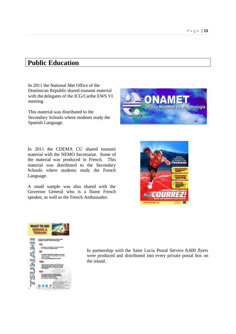# **Public Education**

In 2011 the National Met Office of the Dominican Republic shared tsunami material with the delegates of the ICG/Caribe EWS VI meeting.

This material was distributed to the Secondary Schools where students study the Spanish Language.



In 2011 the CDEMA CU shared tsunami material with the NEMO Secretariat. Some of the material was produced in French. This material was distributed to the Secondary Schools where students study the French Language.

A small sample was also shared with the Governor General who is a fluent French speaker, as well as the French Ambassador.





In partnership with the Saint Lucia Postal Service 8,600 flyers were produced and distributed into every private postal box on the island.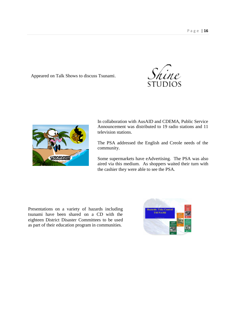Appeared on Talk Shows to discuss Tsunami.



In collaboration with AusAID and CDEMA, Public Service Announcement was distributed to 19 radio stations and 11 television stations.

Shine

**STUDIOS** 

The PSA addressed the English and Creole needs of the community.

Some supermarkets have eAdvertising. The PSA was also aired via this medium. As shoppers waited their turn with the cashier they were able to see the PSA.

Presentations on a variety of hazards including tsunami have been shared on a CD with the eighteen District Disaster Committees to be used as part of their education program in communities.

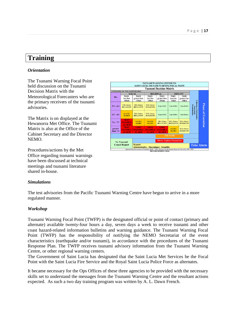# **Training**

### *Orientation*

The Tsunami Warning Focal Point held discussion on the Tsunami Decision Matrix with the Meteorological Forecasters who are the primary receivers of the tsunami advisories.

The Matrix is on displayed at the Hewanorra Met Office. The Tsunami Matrix is also at the Office of the Cabinet Secretary and the Director NEMO.

Procedures/actions by the Met Office regarding tsunami warnings have been discussed at technical meetings and tsunami literature shared in-house.



### *Simulations*

The test advisories from the Pacific Tsunami Warning Centre have begun to arrive in a more regulated manner.

### *Workshop*

Tsunami Warning Focal Point (TWFP) is the designated official or point of contact (primary and alternate) available twenty-four hours a day, seven days a week to receive tsunami and other coast hazard-related information bulletins and warning guidance. The Tsunami Warning Focal Point (TWFP) has the responsibility of notifying the NEMO Secretariat of the event characteristics (earthquake and/or tsunami), in accordance with the procedures of the Tsunami Response Plan. The TWFP receives tsunami advisory information from the Tsunami Warning Centre, or other regional warning centers.

The Government of Saint Lucia has designated that the Saint Lucia Met Services be the Focal Point with the Saint Lucia Fire Service and the Royal Saint Lucia Police Force as alternates.

It became necessary for the Ops Offices of these three agencies to be provided with the necessary skills set to understand the messages from the Tsunami Warning Centre and the resultant actions expected. As such a two day training program was written by A. L. Dawn French.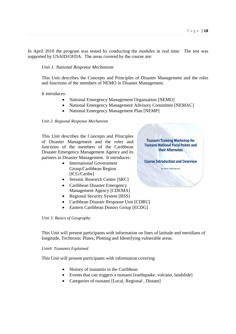In April 2010 the program was tested by conducting the modules in real time. The test was supported by USAID/OFDA. The areas covered by the course are:

### *Unit 1: National Response Mechanism*

This Unit describes the Concepts and Principles of Disaster Management and the roles and functions of the members of NEMO in Disaster Management.

It introduces:

- National Emergency Management Organsation [NEMO]
- National Emergency Management Advisory Committee [NEMAC]
- National Emergency Management Plan [NEMP]

#### *Unit 2: Regional Response Mechanism*

This Unit describes the Concepts and Principles of Disaster Management and the roles and functions of the members of the Caribbean Disaster Emergency Management Agency and its partners in Disaster Management. It introduces:

- International Government Group/Caribbean Region [ICG/Caribe]
- Seismic Research Centre [SRC]
- Caribbean Disaster Emergency Management Agency [CDEMA]
- Regional Security System [RSS]
- Caribbean Disaster Response Unit [CDRU]
- Eastern Caribbean Donors Group [ECDG]

#### *Unit 3: Basics of Geography*

This Unit will present participants with information on lines of latitude and meridians of longitude, Techtronic Plates, Plotting and Identifying vulnerable areas.

#### *Unit4: Tsunamis Explained*

This Unit will present participants with information covering:

- History of tsunamis in the Caribbean
- Events that can triggers a tsunami [earthquake, volcano, landslide]
- Categories of tsunami [Local, Regional, Distant]

**Tsunami Training Workshop for Tsunami National Focal Points and** their Alternates

**Course Introduction and Overview** Developed by NEMO Saint Lucia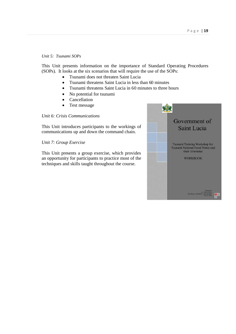#### *Unit 5: Tsunami SOPs*

This Unit presents information on the importance of Standard Operating Procedures (SOPs). It looks at the six scenarios that will require the use of the SOPs:

- Tsunami does not threaten Saint Lucia
- Tsunami threatens Saint Lucia in less than 60 minutes
- Tsunami threatens Saint Lucia in 60 minutes to three hours
- No potential for tsunami
- Cancellation
- Test message

### *Unit 6: Crisis Communications*

This Unit introduces participants to the workings of communications up and down the command chain.

### *Unit 7: Group Exercise*

This Unit presents a group exercise, which provides an opportunity for participants to practice most of the techniques and skills taught throughout the course.

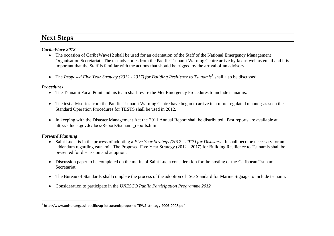# **Next Steps**

### *CaribeWave 2012*

- The occasion of CaribeWave12 shall be used for an orientation of the Staff of the National Emergency Management Organisation Secretariat. The test advisories from the Pacific Tsunami Warning Centre arrive by fax as well as email and it is important that the Staff is familiar with the actions that should be trigged by the arrival of an advisory.
- The *Proposed Five Year Strategy (2012 2017) for Building Resilience to Tsunamis<sup>1</sup> shall also be discussed.*

### *Procedures*

- The Tsunami Focal Point and his team shall revise the Met Emergency Procedures to include tsunamis.
- The test advisories from the Pacific Tsunami Warning Centre have begun to arrive in a more regulated manner; as such the Standard Operation Procedures for TESTS shall be used in 2012.
- In keeping with the Disaster Management Act the 2011 Annual Report shall be distributed. Past reports are available at http://stlucia.gov.lc/docs/Reports/tsunami\_reports.htm

## *Forward Planning*

- Saint Lucia is in the process of adopting a *Five Year Strategy (2012 - 2017) for Disasters*. It shall become necessary for an addendum regarding tsunami. The Proposed Five Year Strategy (2012 - 2017) for Building Resilience to Tsunamis shall be presented for discussion and adoption.
- Discussion paper to be completed on the merits of Saint Lucia consideration for the hosting of the Caribbean Tsunami Secretariat.
- The Bureau of Standards shall complete the process of the adoption of ISO Standard for Marine Signage to include tsunami.
- Consideration to participate in the *UNESCO Public Participation Programme 2012*

<sup>&</sup>lt;sup>1</sup> http://www.unisdr.org/asiapacific/ap-iotsunami/proposed-TEWS-strategy-2006-2008.pdf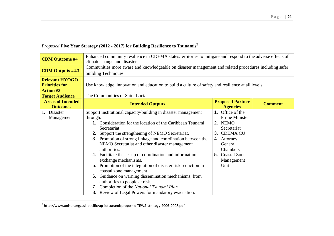# *Proposed* **Five Year Strategy (2012 - 2017) for Building Resilience to Tsunamis<sup>2</sup>**

| <b>CDM Outcome #4</b>                                              | Enhanced community resilience in CDEMA states/territories to mitigate and respond to the adverse effects of<br>climate change and disasters.                                                                                                                                                                                                                                                                                                                                                                                                                                                                                                                                                                                      |                                                                                                                                                                   |                |  |  |  |  |
|--------------------------------------------------------------------|-----------------------------------------------------------------------------------------------------------------------------------------------------------------------------------------------------------------------------------------------------------------------------------------------------------------------------------------------------------------------------------------------------------------------------------------------------------------------------------------------------------------------------------------------------------------------------------------------------------------------------------------------------------------------------------------------------------------------------------|-------------------------------------------------------------------------------------------------------------------------------------------------------------------|----------------|--|--|--|--|
| <b>CDM Outputs #4.3</b>                                            | Communities more aware and knowledgeable on disaster management and related procedures including safer<br>building Techniques                                                                                                                                                                                                                                                                                                                                                                                                                                                                                                                                                                                                     |                                                                                                                                                                   |                |  |  |  |  |
| <b>Relevant HYOGO</b><br><b>Priorities for</b><br><b>Action #3</b> | Use knowledge, innovation and education to build a culture of safety and resilience at all levels                                                                                                                                                                                                                                                                                                                                                                                                                                                                                                                                                                                                                                 |                                                                                                                                                                   |                |  |  |  |  |
| <b>Target Audience</b>                                             | The Communities of Saint Lucia                                                                                                                                                                                                                                                                                                                                                                                                                                                                                                                                                                                                                                                                                                    |                                                                                                                                                                   |                |  |  |  |  |
| <b>Areas of Intended</b><br><b>Outcomes</b>                        | <b>Intended Outputs</b>                                                                                                                                                                                                                                                                                                                                                                                                                                                                                                                                                                                                                                                                                                           | <b>Proposed Partner</b><br><b>Agencies</b>                                                                                                                        | <b>Comment</b> |  |  |  |  |
| 1.<br>Disaster<br>Management                                       | Support institutional capacity-building in disaster management<br>through:<br>1. Consideration for the location of the Caribbean Tsunami<br>Secretariat<br>2. Support the strengthening of NEMO Secretariat.<br>3. Promotion of strong linkage and coordination between the<br>NEMO Secretariat and other disaster management<br>authorities.<br>4. Facilitate the set-up of coordination and information<br>exchange mechanisms.<br>5. Promotion of the integration of disaster risk reduction in<br>coastal zone management.<br>Guidance on warning dissemination mechanisms, from<br>6.<br>authorities to people at risk.<br>7. Completion of the National Tsunami Plan<br>8. Review of Legal Powers for mandatory evacuation. | 1. Office of the<br><b>Prime Minister</b><br>2. NEMO<br>Secretariat<br>3. CDEMA CU<br>4. Attorney<br>General<br>Chambers<br>5. Coastal Zone<br>Management<br>Unit |                |  |  |  |  |

<sup>&</sup>lt;sup>2</sup> http://www.unisdr.org/asiapacific/ap-iotsunami/proposed-TEWS-strategy-2006-2008.pdf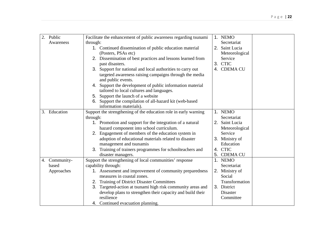|    | 2. Public  | Facilitate the enhancement of public awareness regarding tsunami |    | 1. NEMO        |  |
|----|------------|------------------------------------------------------------------|----|----------------|--|
|    | Awareness  | through:                                                         |    | Secretariat    |  |
|    |            | 1. Continued dissemination of public education material          |    | 2. Saint Lucia |  |
|    |            | (Posters, PSAs etc)                                              |    | Meteorological |  |
|    |            | 2. Dissemination of best practices and lessons learned from      |    | Service        |  |
|    |            | past disasters.                                                  |    | 3. CTIC        |  |
|    |            | 3. Support for national and local authorities to carry out       |    | 4. CDEMA CU    |  |
|    |            | targeted awareness raising campaigns through the media           |    |                |  |
|    |            | and public events.                                               |    |                |  |
|    |            | 4. Support the development of public information material        |    |                |  |
|    |            | tailored to local cultures and languages.                        |    |                |  |
|    |            | Support the launch of a website<br>5.                            |    |                |  |
|    |            | Support the compilation of all-hazard kit (web-based<br>6.       |    |                |  |
|    |            | information materials).                                          |    |                |  |
| 3. | Education  | Support the strengthening of the education role in early warning |    | 1. NEMO        |  |
|    |            | through:                                                         |    | Secretariat    |  |
|    |            | 1. Promotion and support for the integration of a natural        |    | 2. Saint Lucia |  |
|    |            | hazard component into school curriculum.                         |    | Meteorological |  |
|    |            | 2. Engagement of members of the education system in              |    | Service        |  |
|    |            | adoption of educational materials related to disaster            |    | 3. Ministry of |  |
|    |            | management and tsunamis                                          |    | Education      |  |
|    |            | 3. Training of trainers programmes for schoolteachers and        |    | 4. CTIC        |  |
|    |            | disaster managers.                                               |    | 5. CDEMA CU    |  |
| 4. | Community- | Support the strengthening of local communities' response         |    | 1. NEMO        |  |
|    | based      | capability through:                                              |    | Secretariat    |  |
|    | Approaches | 1. Assessment and improvement of community preparedness          |    | 2. Ministry of |  |
|    |            | measures in coastal zones.                                       |    | Social         |  |
|    |            | 2. Training of District Disaster Committees                      |    | Transformation |  |
|    |            | 3. Targeted-action at tsunami high risk community areas and      | 3. | District       |  |
|    |            | develop plans to strengthen their capacity and build their       |    | Disaster       |  |
|    |            | resilience                                                       |    | Committee      |  |
|    |            | 4. Continued evacuation planning.                                |    |                |  |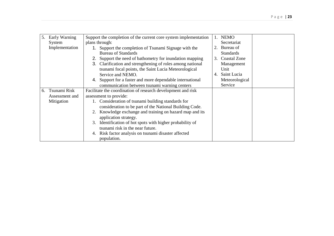| 5. | Early Warning  | Support the completion of the current core system implementation |    | 1. NEMO          |  |
|----|----------------|------------------------------------------------------------------|----|------------------|--|
|    | System         | plans through:                                                   |    | Secretariat      |  |
|    | Implementation | 1. Support the completion of Tsunami Signage with the            |    | 2. Bureau of     |  |
|    |                | <b>Bureau of Standards</b>                                       |    | <b>Standards</b> |  |
|    |                | 2. Support the need of bathometry for inundation mapping         |    | 3. Coastal Zone  |  |
|    |                | 3. Clarification and strengthening of roles among national       |    | Management       |  |
|    |                | tsunami focal points, the Saint Lucia Meteorological             |    | Unit             |  |
|    |                | Service and NEMO.                                                | 4. | Saint Lucia      |  |
|    |                | 4. Support for a faster and more dependable international        |    | Meteorological   |  |
|    |                | communication between tsunami warning centers                    |    | Service          |  |
| 6. | Tsunami Risk   | Facilitate the coordination of research development and risk     |    |                  |  |
|    | Assessment and | assessment to provide:                                           |    |                  |  |
|    | Mitigation     | 1. Consideration of tsunami building standards for               |    |                  |  |
|    |                | consideration to be part of the National Building Code.          |    |                  |  |
|    |                | 2. Knowledge exchange and training on hazard map and its         |    |                  |  |
|    |                | application strategy.                                            |    |                  |  |
|    |                | 3. Identification of hot spots with higher probability of        |    |                  |  |
|    |                | tsunami risk in the near future.                                 |    |                  |  |
|    |                | Risk factor analysis on tsunami disaster affected<br>4.          |    |                  |  |
|    |                | population.                                                      |    |                  |  |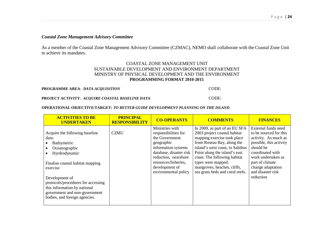### *Coastal Zone Management Advisory Committee*

As a member of the Coastal Zone Management Advisory Committee (CZMAC), NEMO shall collaborate with the Coastal Zone Unit to achieve its mandates.

### COASTAL ZONE MANAGEMENT UNIT SUSTAINABLE DEVELOPMENT AND ENVIRONMENT DEPARTMENT MINISTRY OF PHYSICAL DEVELOPMENT AND THE ENVIRONMENT **PROGRAMMING FORMAT 2010-2015**

### **PROGRAMME AREA**: *DATA ACQUISITION* CODE:

### **PROJECT ACTIVITY**: *ACQUIRE COASTAL BASELINE DATA* CODE:

### **OPERATIONAL OBJECTIVE/TARGET:** *TO BETTER GUIDE DEVELOPMENT PLANNING ON THE ISLAND*

| <b>ACTIVITIES TO BE</b><br><b>UNDERTAKEN</b>                                                                                                           | <b>PRINCIPAL</b><br><b>RESPONSIBILITY</b> | <b>CO-OPERANTS</b>                                                                                                                                                                                                  | <b>COMMENTS</b>                                                                                                                                                                                                                                                                                                         | <b>FINANCES</b>                                                                                                                                                                                                      |
|--------------------------------------------------------------------------------------------------------------------------------------------------------|-------------------------------------------|---------------------------------------------------------------------------------------------------------------------------------------------------------------------------------------------------------------------|-------------------------------------------------------------------------------------------------------------------------------------------------------------------------------------------------------------------------------------------------------------------------------------------------------------------------|----------------------------------------------------------------------------------------------------------------------------------------------------------------------------------------------------------------------|
| Acquire the following baseline<br>data:<br>Bathymetric<br>Oceanographic<br>Hyrdrodynamic<br>Finalise coastal habitat mapping<br>exercise               | <b>CZMU</b>                               | Ministries with<br>responsibilities for<br>the Government<br>geographic<br>information systems<br>database, disaster risk<br>reduction, nearshore<br>resources/fisheries,<br>development of<br>environmental policy | In 2009, as part of an EU SFA<br>2003 project coastal habitat<br>mapping exercise took place<br>from Roseau Bay, along the<br>island's west coast, to Saltibus<br>Point along the island's east<br>coast. The following habitat<br>types were mapped:<br>mangroves, beaches, cliffs,<br>sea grass beds and coral reefs. | External funds need<br>to be sourced for this<br>activity. As much as<br>possible, this activity<br>should be<br>coordinated with<br>work undertaken as<br>part of climate<br>change adaptation<br>and disaster risk |
| Development of<br>protocols/procedures for accessing<br>this information by national<br>government and non-government<br>bodies, and foreign agencies. |                                           |                                                                                                                                                                                                                     |                                                                                                                                                                                                                                                                                                                         | reduction                                                                                                                                                                                                            |